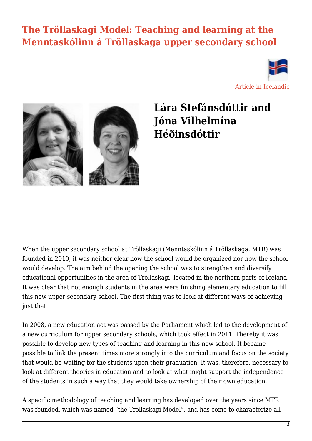#### **[The Tröllaskagi Model: Teaching and learning at the](https://skolathraedir.is/2022/01/19/the-trollaskagi-model/) [Menntaskólinn á Tröllaskaga upper secondary school](https://skolathraedir.is/2022/01/19/the-trollaskagi-model/)**



[Article in Icelandic](http://skolathraedir.is/2021/03/09/trollaskagamodelid-nam-og-kennsla-i-menntaskolanum-a-trollaskaga/)



#### **Lára Stefánsdóttir and Jóna Vilhelmína Héðinsdóttir**

When the upper secondary school at Tröllaskagi (Menntaskólinn á Tröllaskaga, MTR) was founded in 2010, it was neither clear how the school would be organized nor how the school would develop. The aim behind the opening the school was to strengthen and diversify educational opportunities in the area of Tröllaskagi, located in the northern parts of Iceland. It was clear that not enough students in the area were finishing elementary education to fill this new upper secondary school. The first thing was to look at different ways of achieving just that.

In 2008, a new education act was passed by the Parliament which led to the development of a new curriculum for upper secondary schools, which took effect in 2011. Thereby it was possible to develop new types of teaching and learning in this new school. It became possible to link the present times more strongly into the curriculum and focus on the society that would be waiting for the students upon their graduation. It was, therefore, necessary to look at different theories in education and to look at what might support the independence of the students in such a way that they would take ownership of their own education.

A specific methodology of teaching and learning has developed over the years since MTR was founded, which was named "the Tröllaskagi Model", and has come to characterize all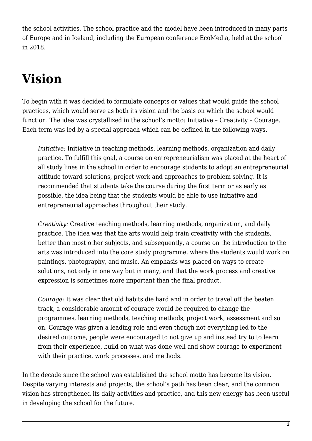the school activities. The school practice and the model have been introduced in many parts of Europe and in Iceland, including the European conference EcoMedia, held at the school in 2018.

## **Vision**

To begin with it was decided to formulate concepts or values that would guide the school practices, which would serve as both its vision and the basis on which the school would function. The idea was crystallized in the school's motto: Initiative – Creativity – Courage. Each term was led by a special approach which can be defined in the following ways.

*Initiative:* Initiative in teaching methods, learning methods, organization and daily practice. To fulfill this goal, a course on entrepreneurialism was placed at the heart of all study lines in the school in order to encourage students to adopt an entrepreneurial attitude toward solutions, project work and approaches to problem solving. It is recommended that students take the course during the first term or as early as possible, the idea being that the students would be able to use initiative and entrepreneurial approaches throughout their study.

*Creativity:* Creative teaching methods, learning methods, organization, and daily practice. The idea was that the arts would help train creativity with the students, better than most other subjects, and subsequently, a course on the introduction to the arts was introduced into the core study programme, where the students would work on paintings, photography, and music. An emphasis was placed on ways to create solutions, not only in one way but in many, and that the work process and creative expression is sometimes more important than the final product.

*Courage:* It was clear that old habits die hard and in order to travel off the beaten track, a considerable amount of courage would be required to change the programmes, learning methods, teaching methods, project work, assessment and so on. Courage was given a leading role and even though not everything led to the desired outcome, people were encouraged to not give up and instead try to to learn from their experience, build on what was done well and show courage to experiment with their practice, work processes, and methods.

In the decade since the school was established the school motto has become its vision. Despite varying interests and projects, the school's path has been clear, and the common vision has strengthened its daily activities and practice, and this new energy has been useful in developing the school for the future.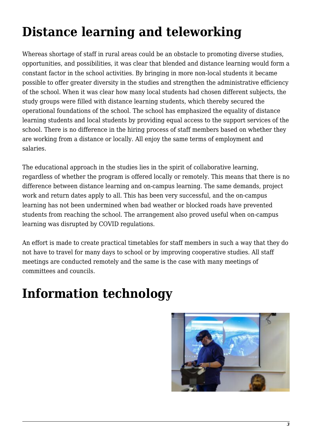## **Distance learning and teleworking**

Whereas shortage of staff in rural areas could be an obstacle to promoting diverse studies, opportunities, and possibilities, it was clear that blended and distance learning would form a constant factor in the school activities. By bringing in more non-local students it became possible to offer greater diversity in the studies and strengthen the administrative efficiency of the school. When it was clear how many local students had chosen different subjects, the study groups were filled with distance learning students, which thereby secured the operational foundations of the school. The school has emphasized the equality of distance learning students and local students by providing equal access to the support services of the school. There is no difference in the hiring process of staff members based on whether they are working from a distance or locally. All enjoy the same terms of employment and salaries.

The educational approach in the studies lies in the spirit of collaborative learning, regardless of whether the program is offered locally or remotely. This means that there is no difference between distance learning and on-campus learning. The same demands, project work and return dates apply to all. This has been very successful, and the on-campus learning has not been undermined when bad weather or blocked roads have prevented students from reaching the school. The arrangement also proved useful when on-campus learning was disrupted by COVID regulations.

An effort is made to create practical timetables for staff members in such a way that they do not have to travel for many days to school or by improving cooperative studies. All staff meetings are conducted remotely and the same is the case with many meetings of committees and councils.

### **Information technology**

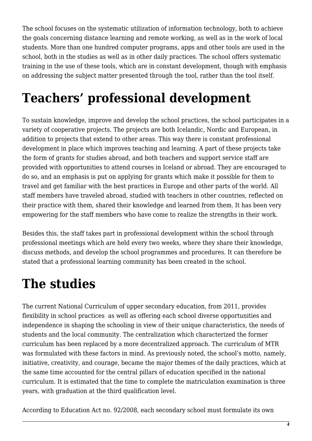The school focuses on the systematic utilization of information technology, both to achieve the goals concerning distance learning and remote working, as well as in the work of local students. More than one hundred computer programs, apps and other tools are used in the school, both in the studies as well as in other daily practices. The school offers systematic training in the use of these tools, which are in constant development, though with emphasis on addressing the subject matter presented through the tool, rather than the tool itself.

## **Teachers' professional development**

To sustain knowledge, improve and develop the school practices, the school participates in a variety of cooperative projects. The projects are both Icelandic, Nordic and European, in addition to projects that extend to other areas. This way there is constant professional development in place which improves teaching and learning. A part of these projects take the form of grants for studies abroad, and both teachers and support service staff are provided with opportunities to attend courses in Iceland or abroad. They are encouraged to do so, and an emphasis is put on applying for grants which make it possible for them to travel and get familiar with the best practices in Europe and other parts of the world. All staff members have traveled abroad, studied with teachers in other countries, reflected on their practice with them, shared their knowledge and learned from them. It has been very empowering for the staff members who have come to realize the strengths in their work.

Besides this, the staff takes part in professional development within the school through professional meetings which are held every two weeks, where they share their knowledge, discuss methods, and develop the school programmes and procedures. It can therefore be stated that a professional learning community has been created in the school.

## **The studies**

The current National Curriculum of upper secondary education, from 2011, provides flexibility in school practices as well as offering each school diverse opportunities and independence in shaping the schooling in view of their unique characteristics, the needs of students and the local community. The centralization which characterized the former curriculum has been replaced by a more decentralized approach. The curriculum of MTR was formulated with these factors in mind. As previously noted, the school's motto, namely, initiative, creativity, and courage, became the major themes of the daily practices, which at the same time accounted for the central pillars of education specified in the national curriculum. It is estimated that the time to complete the matriculation examination is three years, with graduation at the third qualification level.

According to Education Act no. 92/2008, each secondary school must formulate its own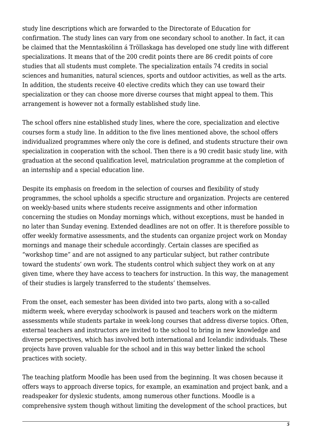study line descriptions which are forwarded to the Directorate of Education for confirmation. The study lines can vary from one secondary school to another. In fact, it can be claimed that the Menntaskólinn á Tröllaskaga has developed one study line with different specializations. It means that of the 200 credit points there are 86 credit points of core studies that all students must complete. The specialization entails 74 credits in social sciences and humanities, natural sciences, sports and outdoor activities, as well as the arts. In addition, the students receive 40 elective credits which they can use toward their specialization or they can choose more diverse courses that might appeal to them. This arrangement is however not a formally established study line.

The school offers nine established study lines, where the core, specialization and elective courses form a study line. In addition to the five lines mentioned above, the school offers individualized programmes where only the core is defined, and students structure their own specialization in cooperation with the school. Then there is a 90 credit basic study line, with graduation at the second qualification level, matriculation programme at the completion of an internship and a special education line.

Despite its emphasis on freedom in the selection of courses and flexibility of study programmes, the school upholds a specific structure and organization. Projects are centered on weekly-based units where students receive assignments and other information concerning the studies on Monday mornings which, without exceptions, must be handed in no later than Sunday evening. Extended deadlines are not on offer. It is therefore possible to offer weekly formative assessments, and the students can organize project work on Monday mornings and manage their schedule accordingly. Certain classes are specified as "workshop time" and are not assigned to any particular subject, but rather contribute toward the students' own work. The students control which subject they work on at any given time, where they have access to teachers for instruction. In this way, the management of their studies is largely transferred to the students' themselves.

From the onset, each semester has been divided into two parts, along with a so-called midterm week, where everyday schoolwork is paused and teachers work on the midterm assessments while students partake in week-long courses that address diverse topics. Often, external teachers and instructors are invited to the school to bring in new knowledge and diverse perspectives, which has involved both international and Icelandic individuals. These projects have proven valuable for the school and in this way better linked the school practices with society.

The teaching platform Moodle has been used from the beginning. It was chosen because it offers ways to approach diverse topics, for example, an examination and project bank, and a readspeaker for dyslexic students, among numerous other functions. Moodle is a comprehensive system though without limiting the development of the school practices, but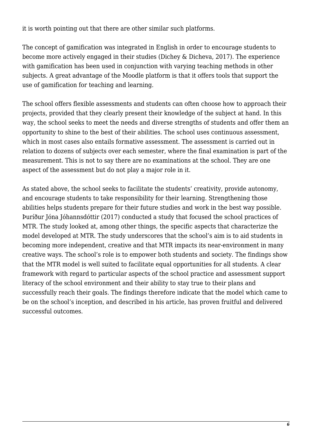it is worth pointing out that there are other similar such platforms.

The concept of gamification was integrated in English in order to encourage students to become more actively engaged in their studies (Dichey & Dicheva, 2017). The experience with gamification has been used in conjunction with varying teaching methods in other subjects. A great advantage of the Moodle platform is that it offers tools that support the use of gamification for teaching and learning.

The school offers flexible assessments and students can often choose how to approach their projects, provided that they clearly present their knowledge of the subject at hand. In this way, the school seeks to meet the needs and diverse strengths of students and offer them an opportunity to shine to the best of their abilities. The school uses continuous assessment, which in most cases also entails formative assessment. The assessment is carried out in relation to dozens of subjects over each semester, where the final examination is part of the measurement. This is not to say there are no examinations at the school. They are one aspect of the assessment but do not play a major role in it.

As stated above, the school seeks to facilitate the students' creativity, provide autonomy, and encourage students to take responsibility for their learning. Strengthening those abilities helps students prepare for their future studies and work in the best way possible. Þuríður Jóna Jóhannsdóttir (2017) conducted a study that focused the school practices of MTR. The study looked at, among other things, the specific aspects that characterize the model developed at MTR. The study underscores that the school's aim is to aid students in becoming more independent, creative and that MTR impacts its near-environment in many creative ways. The school's role is to empower both students and society. The findings show that the MTR model is well suited to facilitate equal opportunities for all students. A clear framework with regard to particular aspects of the school practice and assessment support literacy of the school environment and their ability to stay true to their plans and successfully reach their goals. The findings therefore indicate that the model which came to be on the school's inception, and described in his article, has proven fruitful and delivered successful outcomes.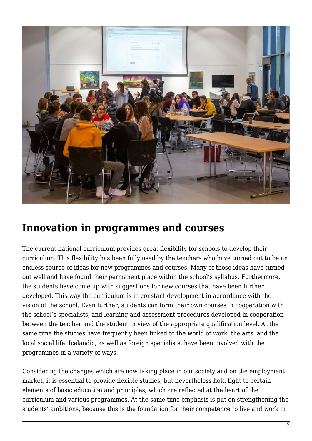

#### **Innovation in programmes and courses**

The current national curriculum provides great flexibility for schools to develop their curriculum. This flexibility has been fully used by the teachers who have turned out to be an endless source of ideas for new programmes and courses. Many of those ideas have turned out well and have found their permanent place within the school's syllabus. Furthermore, the students have come up with suggestions for new courses that have been further developed. This way the curriculum is in constant development in accordance with the vision of the school. Even further, students can form their own courses in cooperation with the school's specialists, and learning and assessment procedures developed in cooperation between the teacher and the student in view of the appropriate qualification level. At the same time the studies have frequently been linked to the world of work, the arts, and the local social life. Icelandic, as well as foreign specialists, have been involved with the programmes in a variety of ways.

Considering the changes which are now taking place in our society and on the employment market, it is essential to provide flexible studies, but nevertheless hold tight to certain elements of basic education and principles, which are reflected at the heart of the curriculum and various programmes. At the same time emphasis is put on strengthening the students' ambitions, because this is the foundation for their competence to live and work in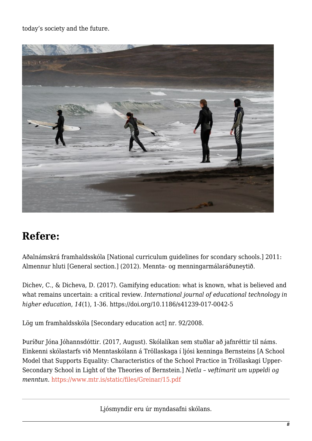today's society and the future.



#### **Refere:**

Aðalnámskrá framhaldsskóla [National curriculum guidelines for scondary schools.] 2011: Almennur hluti [General section.] (2012). Mennta- og menningarmálaráðuneytið.

Dichev, C., & Dicheva, D. (2017). Gamifying education: what is known, what is believed and what remains uncertain: a critical review. *International journal of educational technology in higher education*, *14*(1), 1-36. https://doi.org/10.1186/s41239-017-0042-5

Lög um framhaldsskóla [Secondary education act] nr. 92/2008.

Þuríður Jóna Jóhannsdóttir. (2017, August). Skólalíkan sem stuðlar að jafnréttir til náms. Einkenni skólastarfs við Menntaskólann á Tröllaskaga í ljósi kenninga Bernsteins [A School Model that Supports Equality: Characteristics of the School Practice in Tröllaskagi Upper-Secondary School in Light of the Theories of Bernstein.] *Netla – veftímarit um uppeldi og menntun*.<https://www.mtr.is/static/files/Greinar/15.pdf>

Ljósmyndir eru úr myndasafni skólans.